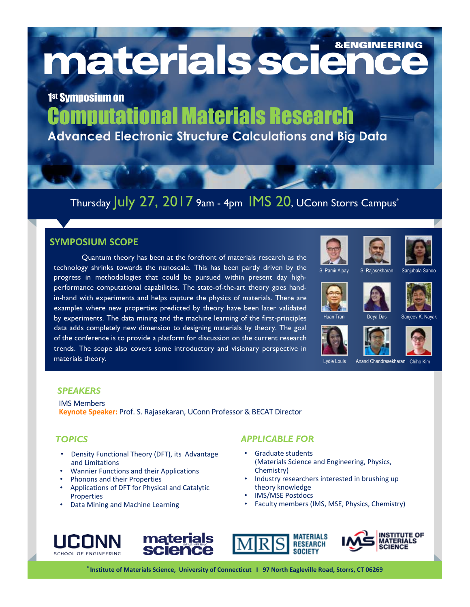materials sciend **&ENGINEERING** 

1st Symposium on Computational Materials Research **Advanced Electronic Structure Calculations and Big Data**

## Thursday July 27, 2017 9am - 4pm IMS 20, UConn Storrs Campus\*

### **SYMPOSIUM SCOPE**

Quantum theory has been at the forefront of materials research as the technology shrinks towards the nanoscale. This has been partly driven by the progress in methodologies that could be pursued within present day highperformance computational capabilities. The state-of-the-art theory goes handin-hand with experiments and helps capture the physics of materials. There are examples where new properties predicted by theory have been later validated by experiments. The data mining and the machine learning of the first-principles data adds completely new dimension to designing materials by theory. The goal of the conference is to provide a platform for discussion on the current research trends. The scope also covers some introductory and visionary perspective in materials theory.





Deya Das









Sanjeev K. Nayak









Lydie Louis Anand Chandrasekharan Chiho Kim

#### *SPEAKERS*

IMS Members **Keynote Speaker:** Prof. S. Rajasekaran, UConn Professor & BECAT Director

- Density Functional Theory (DFT), its Advantage and Limitations
- Wannier Functions and their Applications
- Phonons and their Properties
- Applications of DFT for Physical and Catalytic Properties
- Data Mining and Machine Learning

#### *TOPICS APPLICABLE FOR*

- Graduate students (Materials Science and Engineering, Physics, Chemistry)
- Industry researchers interested in brushing up theory knowledge
- **IMS/MSE Postdocs**
- Faculty members (IMS, MSE, Physics, Chemistry)









\* Institute of Materials Science, University of Connecticut | 97 North Eagleville Road, Storrs, CT 06269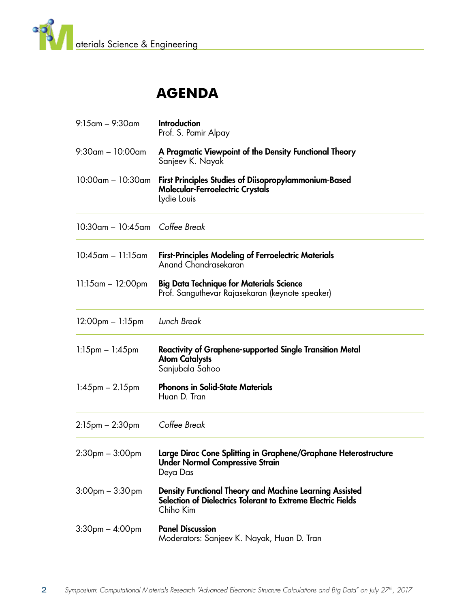

## **Agenda**

| $9:15$ am – $9:30$ am                | <b>Introduction</b><br>Prof. S. Pamir Alpay                                                                                                 |
|--------------------------------------|---------------------------------------------------------------------------------------------------------------------------------------------|
| $9:30$ am – 10:00am                  | A Pragmatic Viewpoint of the Density Functional Theory<br>Sanjeev K. Nayak                                                                  |
| $10:00$ am – $10:30$ am              | First Principles Studies of Diisopropylammonium-Based<br><b>Molecular-Ferroelectric Crystals</b><br>Lydie Louis                             |
| $10:30$ am – $10:45$ am Coffee Break |                                                                                                                                             |
| $10:45$ am – 11:15am                 | <b>First-Principles Modeling of Ferroelectric Materials</b><br>Anand Chandrasekaran                                                         |
| $11:15$ am – 12:00pm                 | <b>Big Data Technique for Materials Science</b><br>Prof. Sanguthevar Rajasekaran (keynote speaker)                                          |
| $12:00$ pm $- 1:15$ pm               | Lunch Break                                                                                                                                 |
| $1:15$ pm $- 1:45$ pm                | <b>Reactivity of Graphene-supported Single Transition Metal</b><br><b>Atom Catalysts</b><br>Sanjubala Sahoo                                 |
| $1:45$ pm $-2.15$ pm                 | <b>Phonons in Solid-State Materials</b><br>Huan D. Tran                                                                                     |
| $2:15$ pm $-2:30$ pm                 | Coffee Break                                                                                                                                |
| $2:30pm - 3:00pm$                    | Large Dirac Cone Splitting in Graphene/Graphane Heterostructure<br><b>Under Normal Compressive Strain</b><br>Deya Das                       |
| $3:00$ pm $-3:30$ pm                 | <b>Density Functional Theory and Machine Learning Assisted</b><br>Selection of Dielectrics Tolerant to Extreme Electric Fields<br>Chiho Kim |
| $3:30$ pm $- 4:00$ pm                | <b>Panel Discussion</b><br>Moderators: Sanjeev K. Nayak, Huan D. Tran                                                                       |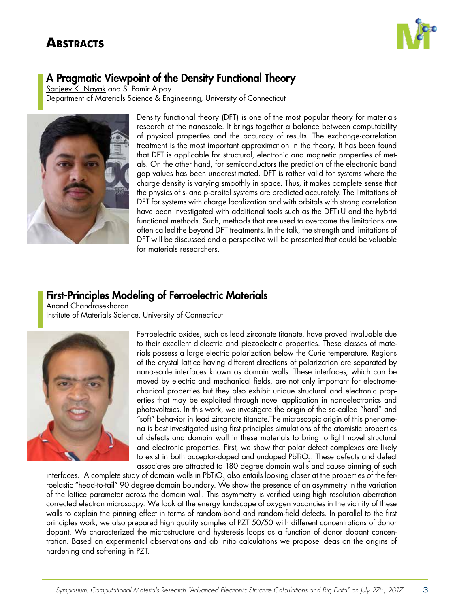

## A Pragmatic Viewpoint of the Density Functional Theory

Sanjeev K. Nayak and S. Pamir Alpay Department of Materials Science & Engineering, University of Connecticut



Density functional theory (DFT) is one of the most popular theory for materials research at the nanoscale. It brings together a balance between computability of physical properties and the accuracy of results. The exchange-correlation treatment is the most important approximation in the theory. It has been found that DFT is applicable for structural, electronic and magnetic properties of metals. On the other hand, for semiconductors the prediction of the electronic band gap values has been underestimated. DFT is rather valid for systems where the charge density is varying smoothly in space. Thus, it makes complete sense that the physics of s- and p-orbital systems are predicted accurately. The limitations of DFT for systems with charge localization and with orbitals with strong correlation have been investigated with additional tools such as the DFT+U and the hybrid functional methods. Such, methods that are used to overcome the limitations are often called the beyond DFT treatments. In the talk, the strength and limitations of DFT will be discussed and a perspective will be presented that could be valuable for materials researchers.

## First-Principles Modeling of Ferroelectric Materials

Anand Chandrasekharan Institute of Materials Science, University of Connecticut



Ferroelectric oxides, such as lead zirconate titanate, have proved invaluable due to their excellent dielectric and piezoelectric properties. These classes of materials possess a large electric polarization below the Curie temperature. Regions of the crystal lattice having different directions of polarization are separated by nano-scale interfaces known as domain walls. These interfaces, which can be moved by electric and mechanical fields, are not only important for electromechanical properties but they also exhibit unique structural and electronic properties that may be exploited through novel application in nanoelectronics and photovoltaics. In this work, we investigate the origin of the so-called "hard" and "soft" behavior in lead zirconate titanate.The microscopic origin of this phenomena is best investigated using first-principles simulations of the atomistic properties of defects and domain wall in these materials to bring to light novel structural and electronic properties. First, we show that polar defect complexes are likely to exist in both acceptor-doped and undoped  $PbTiO<sub>3</sub>$ . These defects and defect associates are attracted to 180 degree domain walls and cause pinning of such

interfaces. A complete study of domain walls in PbTiO<sub>3</sub> also entails looking closer at the properties of the ferroelastic "head-to-tail" 90 degree domain boundary. We show the presence of an asymmetry in the variation of the lattice parameter across the domain wall. This asymmetry is verified using high resolution aberration corrected electron microscopy. We look at the energy landscape of oxygen vacancies in the vicinity of these walls to explain the pinning effect in terms of random-bond and random-field defects. In parallel to the first principles work, we also prepared high quality samples of PZT 50/50 with different concentrations of donor dopant. We characterized the microstructure and hysteresis loops as a function of donor dopant concentration. Based on experimental observations and ab initio calculations we propose ideas on the origins of hardening and softening in PZT.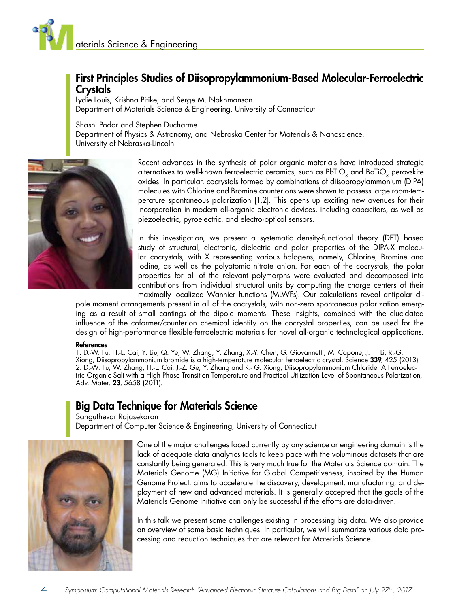

## First Principles Studies of Diisopropylammonium-Based Molecular-Ferroelectric Crystals

Lydie Louis, Krishna Pitike, and Serge M. Nakhmanson Department of Materials Science & Engineering, University of Connecticut

Shashi Podar and Stephen Ducharme

Department of Physics & Astronomy, and Nebraska Center for Materials & Nanoscience, University of Nebraska-Lincoln



Recent advances in the synthesis of polar organic materials have introduced strategic alternatives to well-known ferroelectric ceramics, such as  $PbTiO<sub>3</sub>$  and BaTiO<sub>3</sub> perovskite oxides. In particular, cocrystals formed by combinations of diisopropylammonium (DIPA) molecules with Chlorine and Bromine counterions were shown to possess large room-temperature spontaneous polarization [1,2]. This opens up exciting new avenues for their incorporation in modern all-organic electronic devices, including capacitors, as well as piezoelectric, pyroelectric, and electro-optical sensors.

In this investigation, we present a systematic density-functional theory (DFT) based study of structural, electronic, dielectric and polar properties of the DIPA-X molecular cocrystals, with X representing various halogens, namely, Chlorine, Bromine and Iodine, as well as the polyatomic nitrate anion. For each of the cocrystals, the polar properties for all of the relevant polymorphs were evaluated and decomposed into contributions from individual structural units by computing the charge centers of their maximally localized Wannier functions (MLWFs). Our calculations reveal antipolar di-

pole moment arrangements present in all of the cocrystals, with non-zero spontaneous polarization emerging as a result of small cantings of the dipole moments. These insights, combined with the elucidated influence of the coformer/counterion chemical identity on the cocrystal properties, can be used for the design of high-performance flexible-ferroelectric materials for novel all-organic technological applications.

#### References

1. D.-W. Fu, H.-L. Cai, Y. Liu, Q. Ye, W. Zhang, Y. Zhang, X.-Y. Chen, G. Giovannetti, M. Capone, J. Li, R.-G. Xiong, Diisopropylammonium bromide is a high-temperature molecular ferroelectric crystal, Science **339**, 425 (2013). 2. D.-W. Fu, W. Zhang, H.-L. Cai, J.-Z. Ge, Y. Zhang and R.- G. Xiong, Diisopropylammonium Chloride: A Ferroelectric Organic Salt with a High Phase Transition Temperature and Practical Utilization Level of Spontaneous Polarization, Adv. Mater. **23**, 5658 (2011).

## Big Data Technique for Materials Science

Sanguthevar Rajasekaran Department of Computer Science & Engineering, University of Connecticut



One of the major challenges faced currently by any science or engineering domain is the lack of adequate data analytics tools to keep pace with the voluminous datasets that are constantly being generated. This is very much true for the Materials Science domain. The Materials Genome (MG) Initiative for Global Competitiveness, inspired by the Human Genome Project, aims to accelerate the discovery, development, manufacturing, and deployment of new and advanced materials. It is generally accepted that the goals of the Materials Genome Initiative can only be successful if the efforts are data-driven.

In this talk we present some challenges existing in processing big data. We also provide an overview of some basic techniques. In particular, we will summarize various data processing and reduction techniques that are relevant for Materials Science.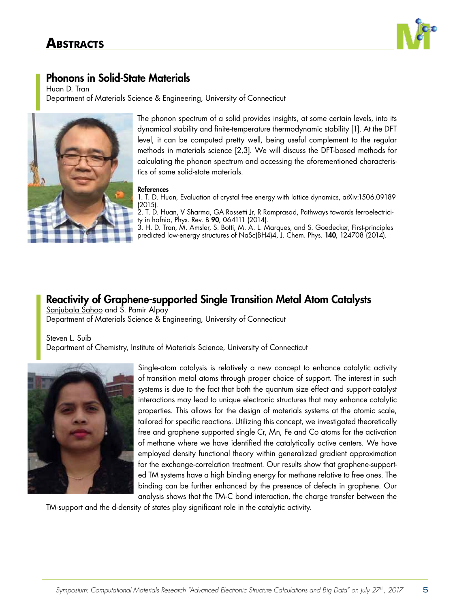

## Phonons in Solid-State Materials

Huan D. Tran Department of Materials Science & Engineering, University of Connecticut



The phonon spectrum of a solid provides insights, at some certain levels, into its dynamical stability and finite-temperature thermodynamic stability [1]. At the DFT level, it can be computed pretty well, being useful complement to the regular methods in materials science [2,3]. We will discuss the DFT-based methods for calculating the phonon spectrum and accessing the aforementioned characteristics of some solid-state materials.

#### References

1. T. D. Huan, Evaluation of crystal free energy with lattice dynamics, arXiv:1506.09189 (2015).

2. T. D. Huan, V Sharma, GA Rossetti Jr, R Ramprasad, Pathways towards ferroelectricity in hafnia, Phys. Rev. B 90, 064111 (2014).

3. H. D. Tran, M. Amsler, S. Botti, M. A. L. Marques, and S. Goedecker, First-principles predicted low-energy structures of NaSc(BH4)4, J. Chem. Phys. 140, 124708 (2014).

## Reactivity of Graphene-supported Single Transition Metal Atom Catalysts Sanjubala Sahoo and S. Pamir Alpay

Department of Materials Science & Engineering, University of Connecticut

Steven L. Suib Department of Chemistry, Institute of Materials Science, University of Connecticut



Single-atom catalysis is relatively a new concept to enhance catalytic activity of transition metal atoms through proper choice of support. The interest in such systems is due to the fact that both the quantum size effect and support-catalyst interactions may lead to unique electronic structures that may enhance catalytic properties. This allows for the design of materials systems at the atomic scale, tailored for specific reactions. Utilizing this concept, we investigated theoretically free and graphene supported single Cr, Mn, Fe and Co atoms for the activation of methane where we have identified the catalytically active centers. We have employed density functional theory within generalized gradient approximation for the exchange-correlation treatment. Our results show that graphene-supported TM systems have a high binding energy for methane relative to free ones. The binding can be further enhanced by the presence of defects in graphene. Our analysis shows that the TM-C bond interaction, the charge transfer between the

TM-support and the d-density of states play significant role in the catalytic activity.